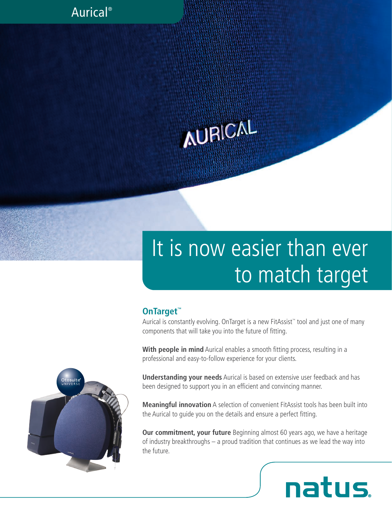### Aurical®

# **AURICAL**

## It is now easier than ever to match target

#### **OnTarget™**

Aurical is constantly evolving. OnTarget is a new FitAssist™ tool and just one of many components that will take you into the future of fitting.

**With people in mind** Aurical enables a smooth fitting process, resulting in a professional and easy-to-follow experience for your clients.

**Understanding your needs** Aurical is based on extensive user feedback and has been designed to support you in an efficient and convincing manner.

**Meaningful innovation** A selection of convenient FitAssist tools has been built into the Aurical to guide you on the details and ensure a perfect fitting.

**Our commitment, your future** Beginning almost 60 years ago, we have a heritage of industry breakthroughs – a proud tradition that continues as we lead the way into the future.